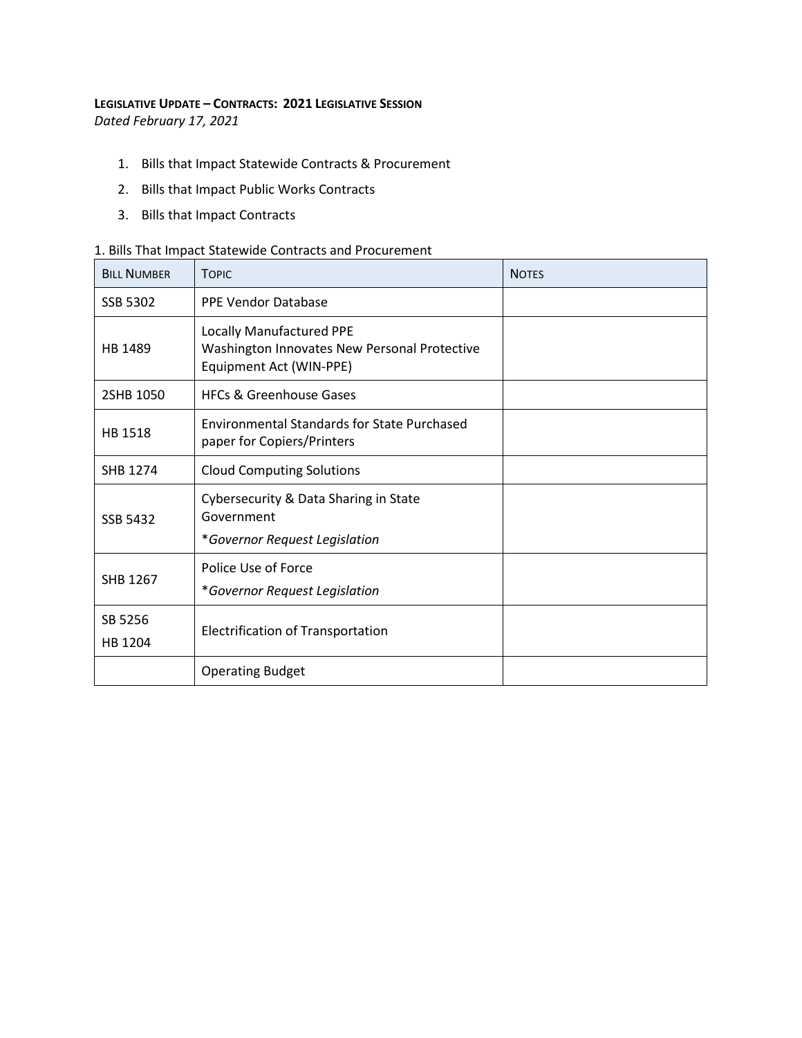## **LEGISLATIVE UPDATE – CONTRACTS: 2021 LEGISLATIVE SESSION**

*Dated February 17, 2021* 

- 1. Bills that Impact Statewide Contracts & Procurement
- 2. Bills that Impact Public Works Contracts
- 3. Bills that Impact Contracts

## 1. Bills That Impact Statewide Contracts and Procurement

| <b>BILL NUMBER</b> | <b>TOPIC</b>                                                                                               | <b>NOTES</b> |
|--------------------|------------------------------------------------------------------------------------------------------------|--------------|
| SSB 5302           | <b>PPE Vendor Database</b>                                                                                 |              |
| HB 1489            | <b>Locally Manufactured PPE</b><br>Washington Innovates New Personal Protective<br>Equipment Act (WIN-PPE) |              |
| 2SHB 1050          | <b>HFCs &amp; Greenhouse Gases</b>                                                                         |              |
| HB 1518            | <b>Environmental Standards for State Purchased</b><br>paper for Copiers/Printers                           |              |
| <b>SHB 1274</b>    | <b>Cloud Computing Solutions</b>                                                                           |              |
| <b>SSB 5432</b>    | Cybersecurity & Data Sharing in State<br>Government<br>*Governor Request Legislation                       |              |
| SHB 1267           | Police Use of Force<br>*Governor Request Legislation                                                       |              |
| SB 5256<br>HB 1204 | <b>Electrification of Transportation</b>                                                                   |              |
|                    | <b>Operating Budget</b>                                                                                    |              |